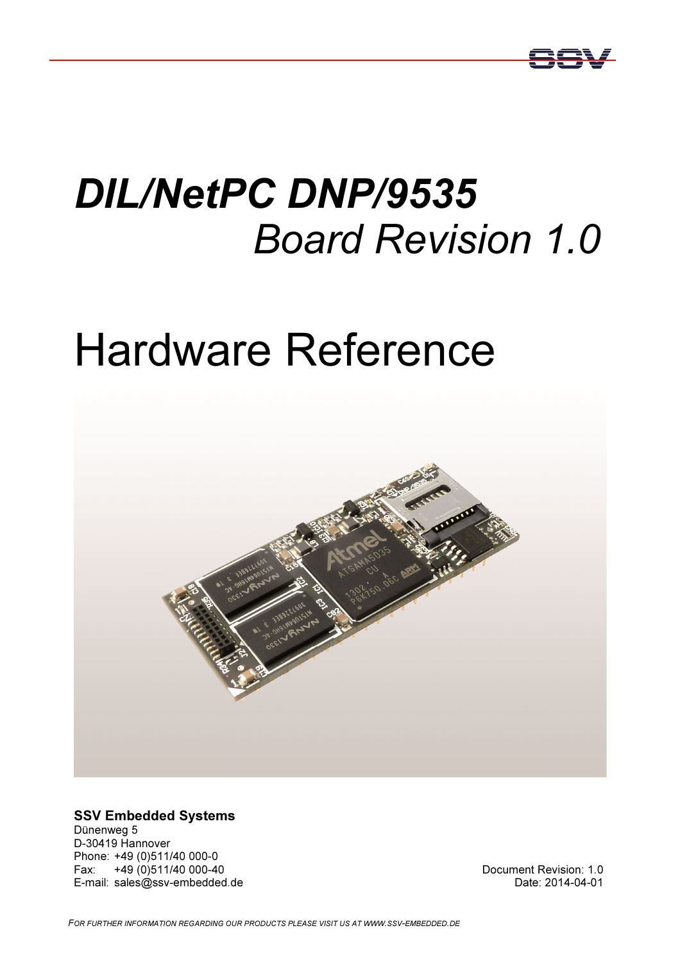

## DIL/NetPC DNP/9535 Board Revision 1.0

# Hardware Reference



SSV Embedded Systems

Dünenweg 5 D-30419 Hannover Phone: +49 (0)511/40 000-0 Fax: +49 (0)511/40 000-40 E-mail: sales@ssv-embedded.de

Document Revision: 1.0 Date: 2014-04-01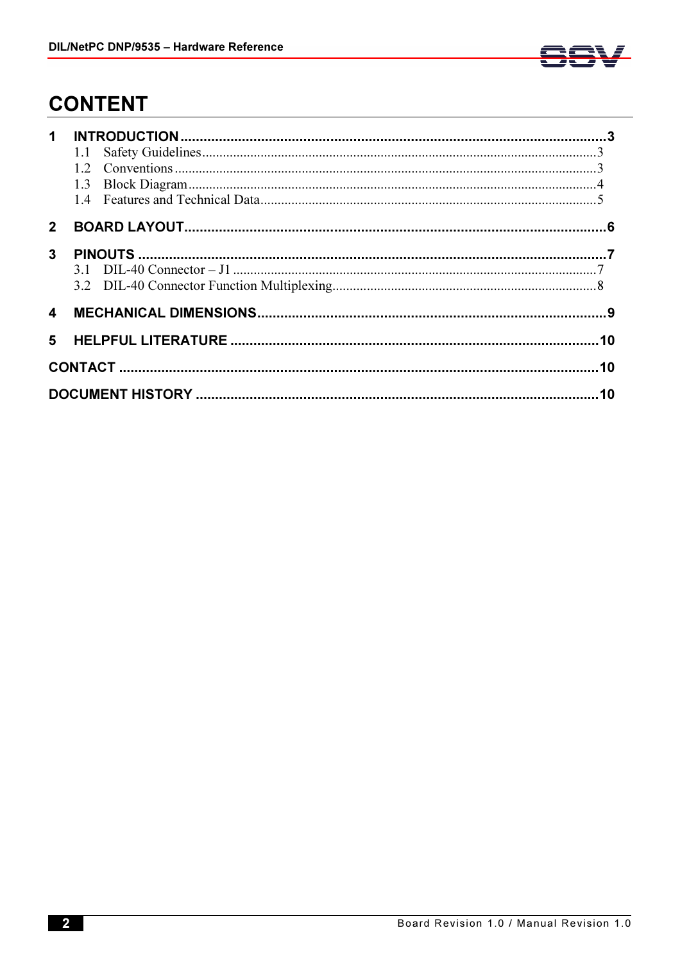

## **CONTENT**

| $\mathbf 1$             |  |
|-------------------------|--|
| 2 <sup>1</sup>          |  |
| 3                       |  |
| $\overline{\mathbf{4}}$ |  |
| 5                       |  |
|                         |  |
|                         |  |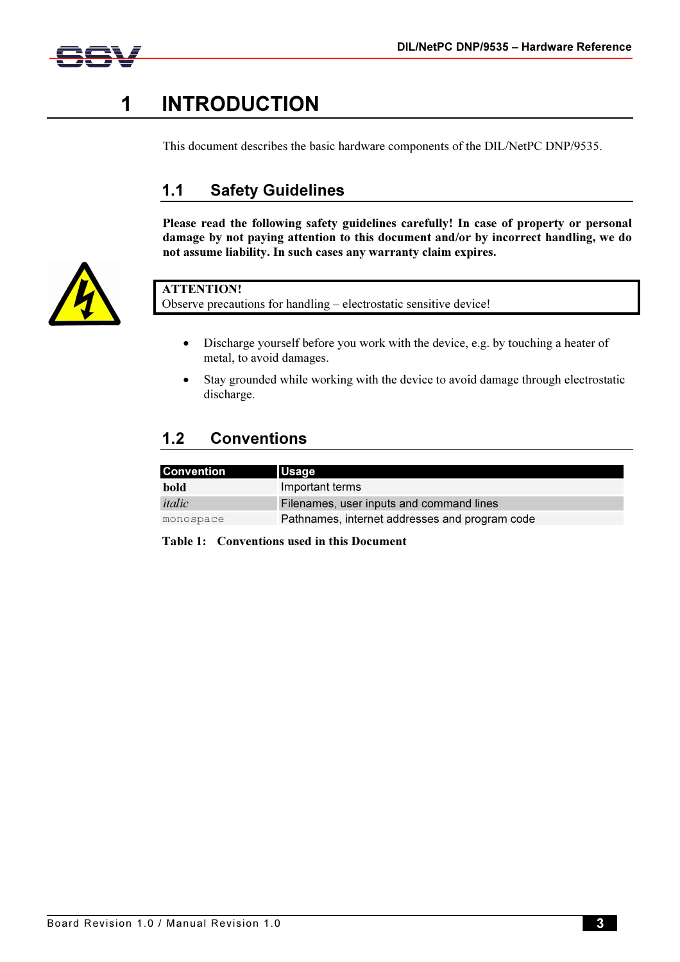



## 1 INTRODUCTION

This document describes the basic hardware components of the DIL/NetPC DNP/9535.

#### 1.1 Safety Guidelines

Please read the following safety guidelines carefully! In case of property or personal damage by not paying attention to this document and/or by incorrect handling, we do not assume liability. In such cases any warranty claim expires.



#### ATTENTION!

Observe precautions for handling – electrostatic sensitive device!

- Discharge yourself before you work with the device, e.g. by touching a heater of metal, to avoid damages.
- Stay grounded while working with the device to avoid damage through electrostatic discharge.

#### 1.2 Conventions

| <b>Convention</b> | <b>Usage</b>                                   |
|-------------------|------------------------------------------------|
| bold              | Important terms                                |
| italic            | Filenames, user inputs and command lines       |
| monospace         | Pathnames, internet addresses and program code |

Table 1: Conventions used in this Document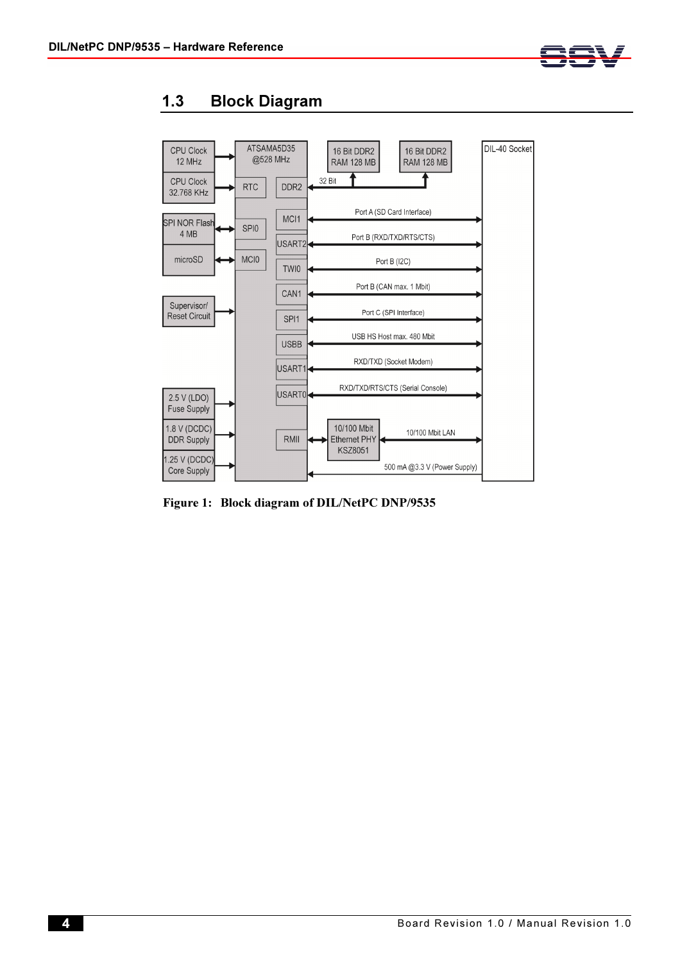



#### 1.3 Block Diagram

Figure 1: Block diagram of DIL/NetPC DNP/9535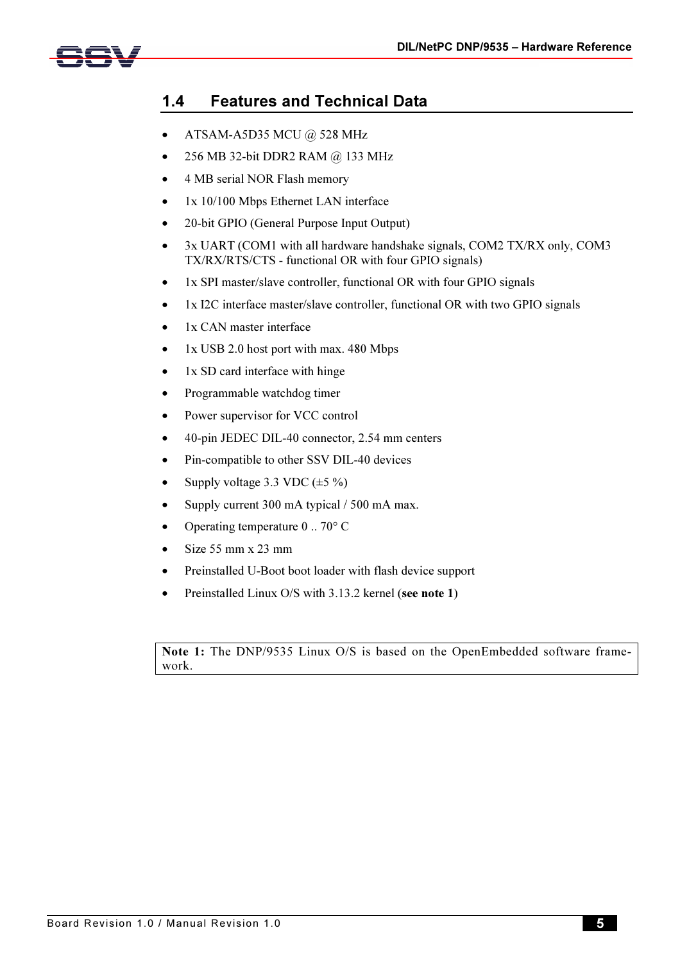

#### 1.4 Features and Technical Data

- ATSAM-A5D35 MCU @ 528 MHz
- 256 MB 32-bit DDR2 RAM @ 133 MHz
- 4 MB serial NOR Flash memory
- 1x 10/100 Mbps Ethernet LAN interface
- 20-bit GPIO (General Purpose Input Output)
- 3x UART (COM1 with all hardware handshake signals, COM2 TX/RX only, COM3 TX/RX/RTS/CTS - functional OR with four GPIO signals)
- 1x SPI master/slave controller, functional OR with four GPIO signals
- 1x I2C interface master/slave controller, functional OR with two GPIO signals
- 1x CAN master interface
- $1x$  USB 2.0 host port with max. 480 Mbps
- 1x SD card interface with hinge
- Programmable watchdog timer
- Power supervisor for VCC control
- 40-pin JEDEC DIL-40 connector, 2.54 mm centers
- Pin-compatible to other SSV DIL-40 devices
- Supply voltage 3.3 VDC  $(\pm 5\%)$
- Supply current 300 mA typical / 500 mA max.
- Operating temperature 0 .. 70° C
- Size 55 mm x 23 mm
- Preinstalled U-Boot boot loader with flash device support
- Preinstalled Linux O/S with 3.13.2 kernel (see note 1)

Note 1: The DNP/9535 Linux O/S is based on the OpenEmbedded software framework.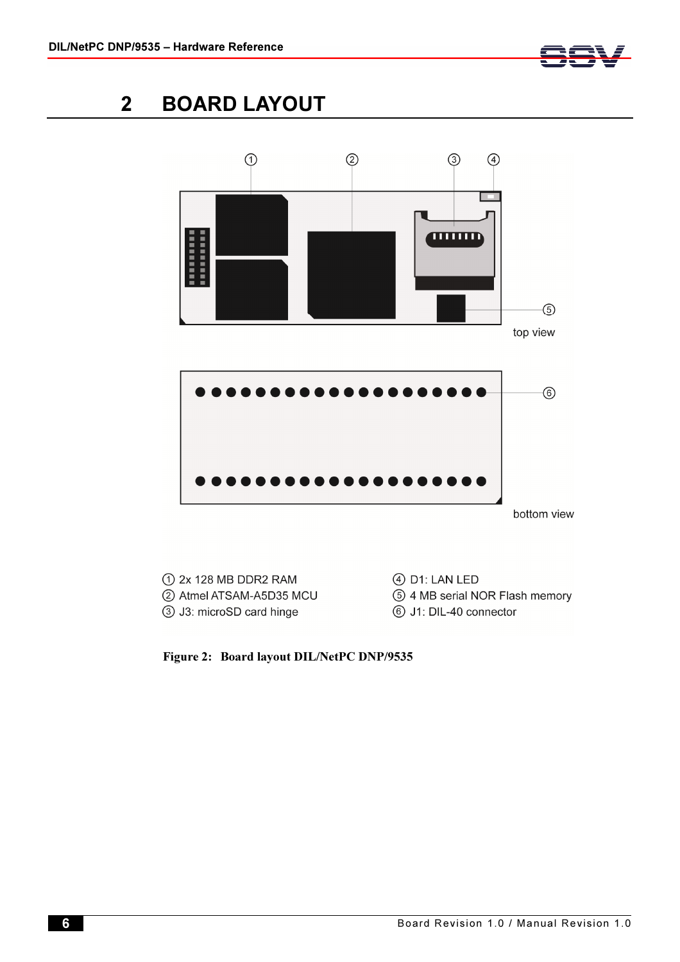

## 2 BOARD LAYOUT



Figure 2: Board layout DIL/NetPC DNP/9535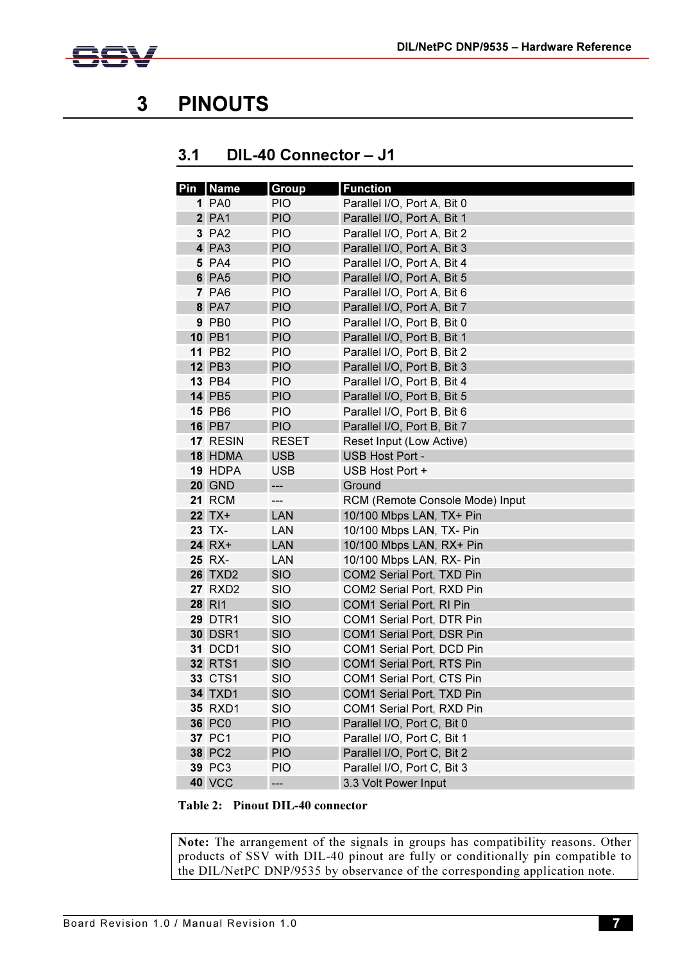

## 3 PINOUTS

#### 3.1 DIL-40 Connector – J1

| Pin   Name     | <b>Group</b> | <b>Function</b>                 |  |  |  |
|----------------|--------------|---------------------------------|--|--|--|
| <b>1 PA0</b>   | <b>PIO</b>   | Parallel I/O, Port A, Bit 0     |  |  |  |
| <b>2 PA1</b>   | <b>PIO</b>   | Parallel I/O, Port A, Bit 1     |  |  |  |
| 3 PA2          | <b>PIO</b>   | Parallel I/O, Port A, Bit 2     |  |  |  |
| 4 PA3          | <b>PIO</b>   | Parallel I/O, Port A, Bit 3     |  |  |  |
| 5 PA4          | <b>PIO</b>   | Parallel I/O, Port A, Bit 4     |  |  |  |
| <b>6 PA5</b>   | <b>PIO</b>   | Parallel I/O, Port A, Bit 5     |  |  |  |
| <b>7 PA6</b>   | <b>PIO</b>   | Parallel I/O, Port A, Bit 6     |  |  |  |
| <b>8 PA7</b>   | <b>PIO</b>   | Parallel I/O, Port A, Bit 7     |  |  |  |
| 9 PB0          | <b>PIO</b>   | Parallel I/O, Port B, Bit 0     |  |  |  |
| <b>10 PB1</b>  | <b>PIO</b>   | Parallel I/O, Port B, Bit 1     |  |  |  |
| <b>11 PB2</b>  | <b>PIO</b>   | Parallel I/O, Port B, Bit 2     |  |  |  |
| <b>12 PB3</b>  | <b>PIO</b>   | Parallel I/O, Port B, Bit 3     |  |  |  |
| <b>13 PB4</b>  | <b>PIO</b>   | Parallel I/O, Port B, Bit 4     |  |  |  |
| <b>14 PB5</b>  | <b>PIO</b>   | Parallel I/O, Port B, Bit 5     |  |  |  |
| <b>15 PB6</b>  | <b>PIO</b>   | Parallel I/O, Port B, Bit 6     |  |  |  |
| <b>16 PB7</b>  | <b>PIO</b>   | Parallel I/O, Port B, Bit 7     |  |  |  |
| 17 RESIN       | <b>RESET</b> | Reset Input (Low Active)        |  |  |  |
| 18 HDMA        | <b>USB</b>   | USB Host Port -                 |  |  |  |
| 19 HDPA        | <b>USB</b>   | USB Host Port +                 |  |  |  |
| <b>20 GND</b>  | ---          | Ground                          |  |  |  |
| <b>21 RCM</b>  | ---          | RCM (Remote Console Mode) Input |  |  |  |
| <b>22 TX+</b>  | <b>LAN</b>   | 10/100 Mbps LAN, TX+ Pin        |  |  |  |
| 23 TX-         | LAN          | 10/100 Mbps LAN, TX- Pin        |  |  |  |
| 24 RX+         | LAN          | 10/100 Mbps LAN, RX+ Pin        |  |  |  |
| 25 RX-         | LAN          | 10/100 Mbps LAN, RX- Pin        |  |  |  |
| <b>26 TXD2</b> | <b>SIO</b>   | COM2 Serial Port, TXD Pin       |  |  |  |
| <b>27 RXD2</b> | <b>SIO</b>   | COM2 Serial Port, RXD Pin       |  |  |  |
| 28 RI1         | <b>SIO</b>   | COM1 Serial Port, RI Pin        |  |  |  |
| <b>29 DTR1</b> | <b>SIO</b>   | COM1 Serial Port, DTR Pin       |  |  |  |
| <b>30 DSR1</b> | <b>SIO</b>   | COM1 Serial Port, DSR Pin       |  |  |  |
| <b>31 DCD1</b> | <b>SIO</b>   | COM1 Serial Port, DCD Pin       |  |  |  |
| <b>32 RTS1</b> | <b>SIO</b>   | COM1 Serial Port, RTS Pin       |  |  |  |
| <b>33 CTS1</b> | SIO          | COM1 Serial Port, CTS Pin       |  |  |  |
| <b>34 TXD1</b> | <b>SIO</b>   | COM1 Serial Port, TXD Pin       |  |  |  |
| <b>35 RXD1</b> | <b>SIO</b>   | COM1 Serial Port, RXD Pin       |  |  |  |
| <b>36 PC0</b>  | <b>PIO</b>   | Parallel I/O, Port C, Bit 0     |  |  |  |
| 37 PC1         | <b>PIO</b>   | Parallel I/O, Port C, Bit 1     |  |  |  |
| <b>38 PC2</b>  | <b>PIO</b>   | Parallel I/O, Port C, Bit 2     |  |  |  |
| <b>39 PC3</b>  | <b>PIO</b>   | Parallel I/O, Port C, Bit 3     |  |  |  |
| <b>40 VCC</b>  | ---          | 3.3 Volt Power Input            |  |  |  |

Table 2: Pinout DIL-40 connector

Note: The arrangement of the signals in groups has compatibility reasons. Other products of SSV with DIL-40 pinout are fully or conditionally pin compatible to the DIL/NetPC DNP/9535 by observance of the corresponding application note.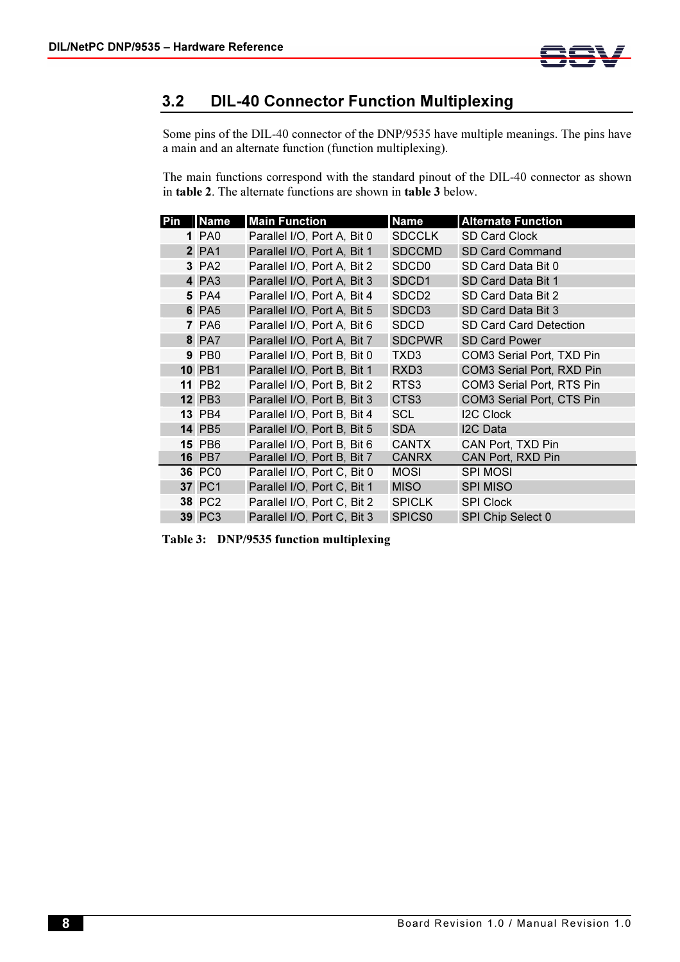

#### 3.2 DIL-40 Connector Function Multiplexing

Some pins of the DIL-40 connector of the DNP/9535 have multiple meanings. The pins have a main and an alternate function (function multiplexing).

The main functions correspond with the standard pinout of the DIL-40 connector as shown in table 2. The alternate functions are shown in table 3 below.

| Pin | <b>Name</b>   | <b>Main Function</b>        | <b>Name</b>        | <b>Alternate Function</b>     |  |
|-----|---------------|-----------------------------|--------------------|-------------------------------|--|
|     | 1 PA0         | Parallel I/O, Port A, Bit 0 | <b>SDCCLK</b>      | <b>SD Card Clock</b>          |  |
|     | <b>2 PA1</b>  | Parallel I/O, Port A, Bit 1 | <b>SDCCMD</b>      | SD Card Command               |  |
|     | 3 PA2         | Parallel I/O, Port A, Bit 2 | SDCD <sub>0</sub>  | SD Card Data Bit 0            |  |
|     | 4 PA3         | Parallel I/O, Port A, Bit 3 | SDCD <sub>1</sub>  | SD Card Data Bit 1            |  |
|     | 5 PA4         | Parallel I/O, Port A, Bit 4 | SDCD <sub>2</sub>  | SD Card Data Bit 2            |  |
|     | <b>6 PA5</b>  | Parallel I/O, Port A, Bit 5 | SDCD <sub>3</sub>  | SD Card Data Bit 3            |  |
|     | <b>7 PA6</b>  | Parallel I/O, Port A, Bit 6 | <b>SDCD</b>        | <b>SD Card Card Detection</b> |  |
|     | <b>8 PA7</b>  | Parallel I/O, Port A, Bit 7 | <b>SDCPWR</b>      | <b>SD Card Power</b>          |  |
|     | 9 PB0         | Parallel I/O, Port B, Bit 0 | TXD <sub>3</sub>   | COM3 Serial Port, TXD Pin     |  |
|     | <b>10 PB1</b> | Parallel I/O, Port B, Bit 1 | RXD <sub>3</sub>   | COM3 Serial Port, RXD Pin     |  |
|     | <b>11 PB2</b> | Parallel I/O, Port B, Bit 2 | RTS3               | COM3 Serial Port, RTS Pin     |  |
|     | <b>12 PB3</b> | Parallel I/O, Port B, Bit 3 | CTS <sub>3</sub>   | COM3 Serial Port, CTS Pin     |  |
|     | <b>13 PB4</b> | Parallel I/O, Port B, Bit 4 | <b>SCL</b>         | <b>I2C Clock</b>              |  |
|     | <b>14 PB5</b> | Parallel I/O, Port B, Bit 5 | <b>SDA</b>         | I2C Data                      |  |
|     | <b>15 PB6</b> | Parallel I/O, Port B, Bit 6 | <b>CANTX</b>       | CAN Port, TXD Pin             |  |
|     | <b>16 PB7</b> | Parallel I/O, Port B, Bit 7 | <b>CANRX</b>       | CAN Port, RXD Pin             |  |
|     | <b>36 PC0</b> | Parallel I/O, Port C, Bit 0 | <b>MOSI</b>        | <b>SPI MOSI</b>               |  |
|     | <b>37 PC1</b> | Parallel I/O, Port C, Bit 1 | <b>MISO</b>        | <b>SPI MISO</b>               |  |
|     | <b>38 PC2</b> | Parallel I/O, Port C, Bit 2 | <b>SPICLK</b>      | <b>SPI Clock</b>              |  |
|     | <b>39 PC3</b> | Parallel I/O, Port C, Bit 3 | SPICS <sub>0</sub> | SPI Chip Select 0             |  |

Table 3: DNP/9535 function multiplexing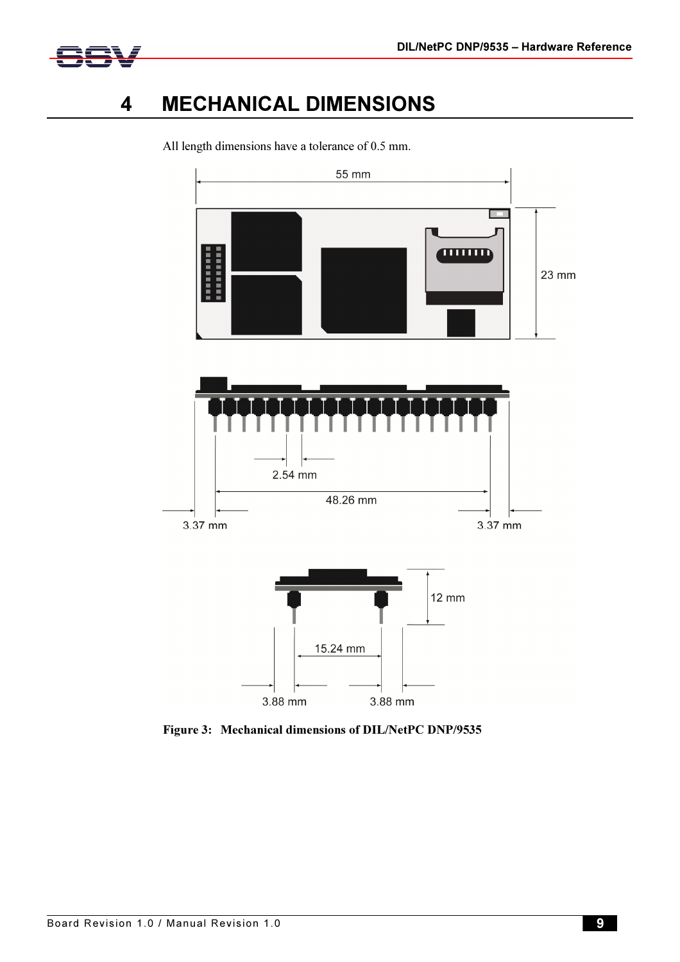



### 4 MECHANICAL DIMENSIONS



All length dimensions have a tolerance of 0.5 mm.

Figure 3: Mechanical dimensions of DIL/NetPC DNP/9535